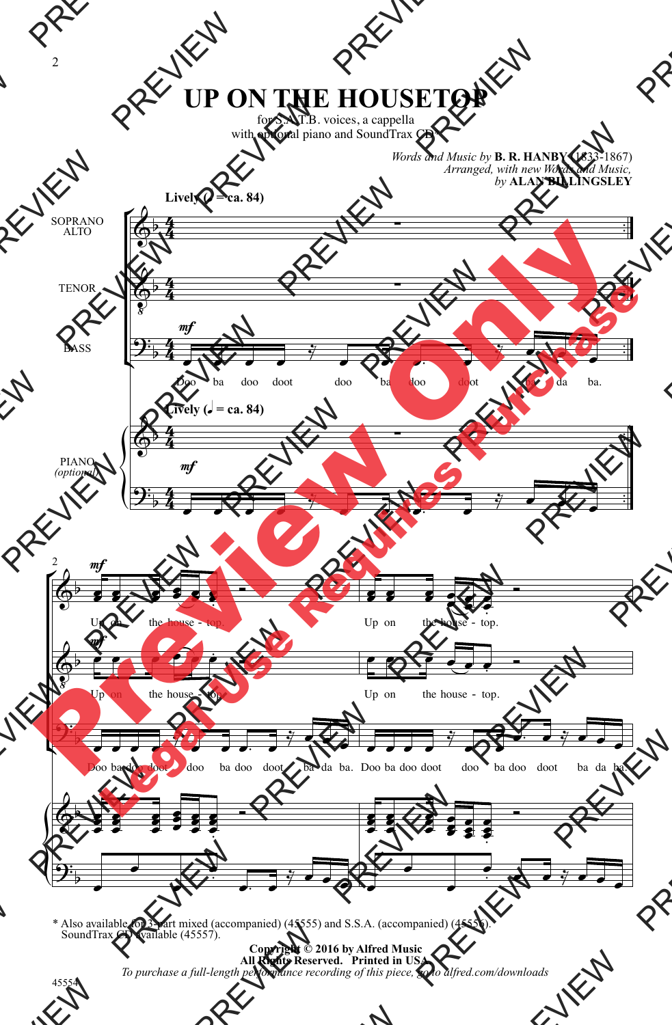## **UP ON THE HOUSETOP**

for S.A.T.B. voices, a cappella with optional piano and SoundTrax CD\*

## *Words and Music by* **B. R. HANBY** (1833-1867) *Arranged, with new Words and Music, by* **ALAN BILLINGSLEY**



\* Also available for 3-part mixed (accompanied) (45555) and S.S.A. (accompanied) (45556). SoundTrax CD available (45557).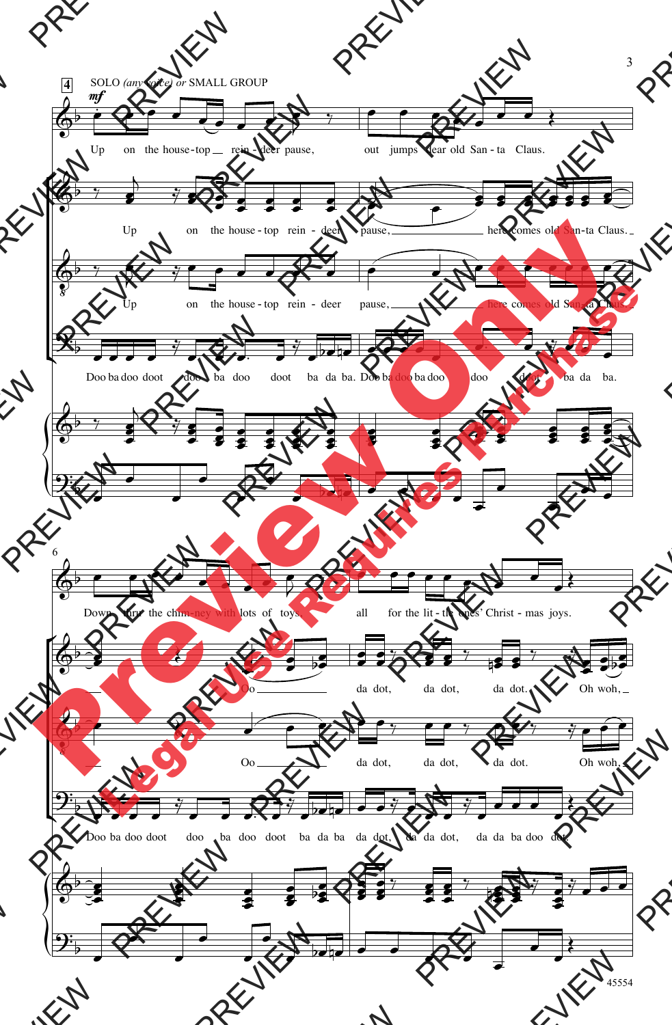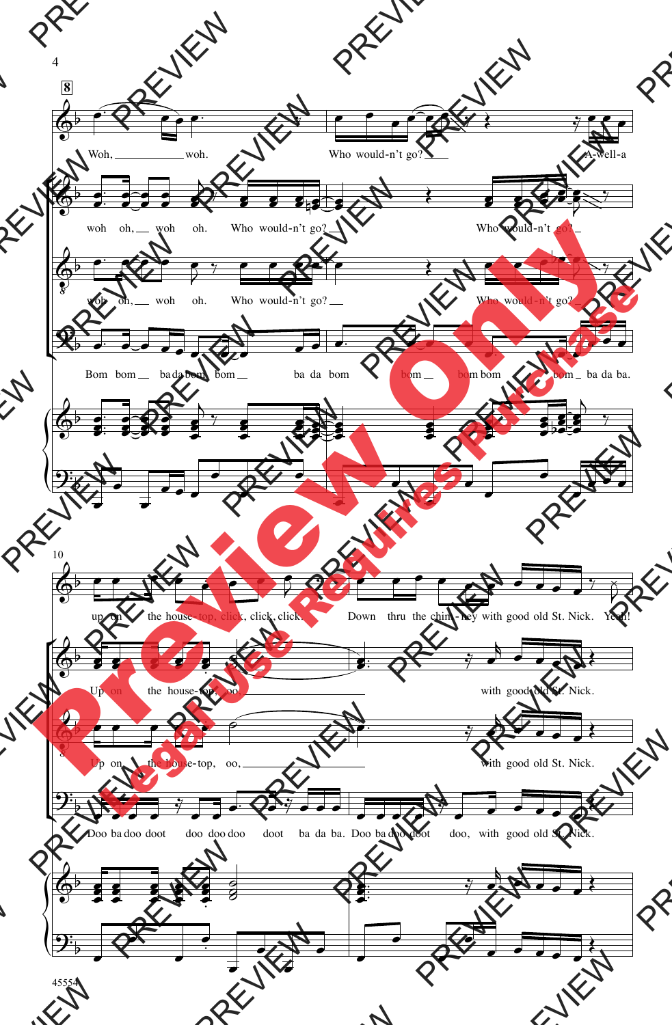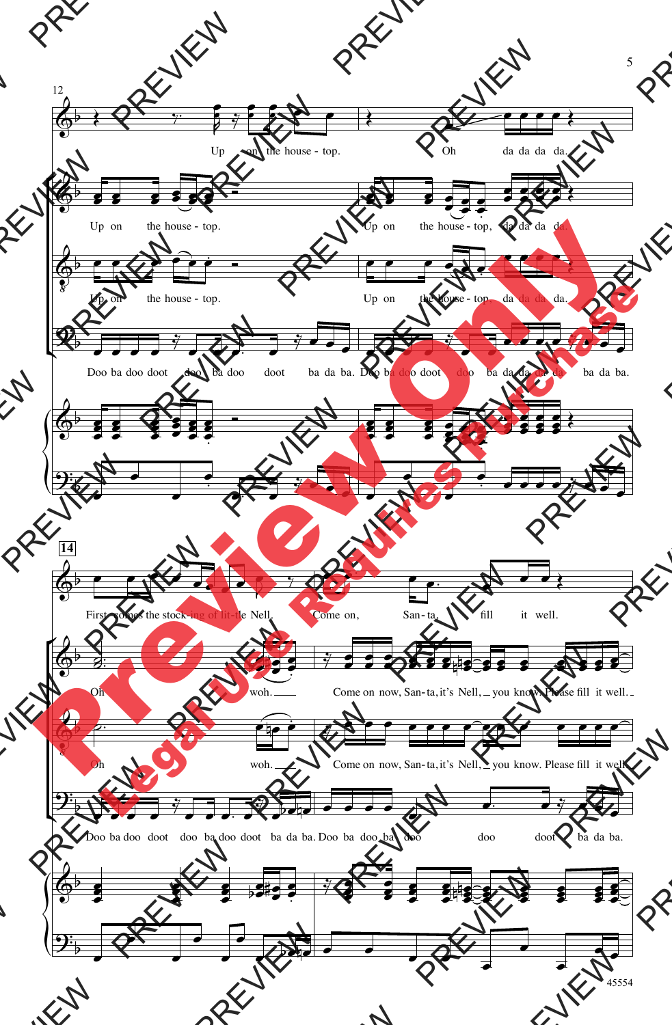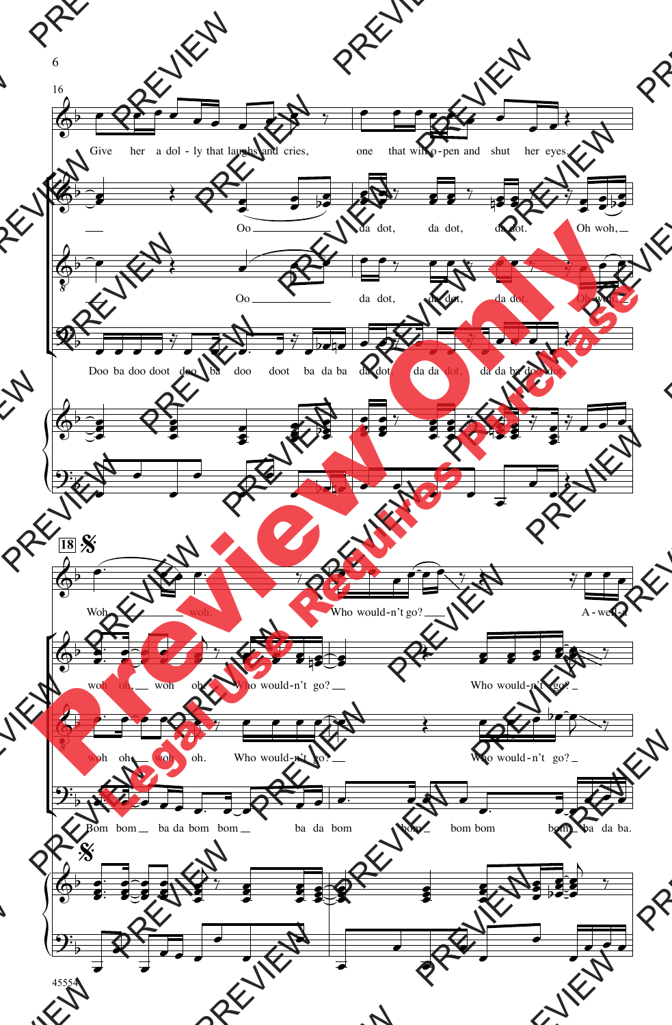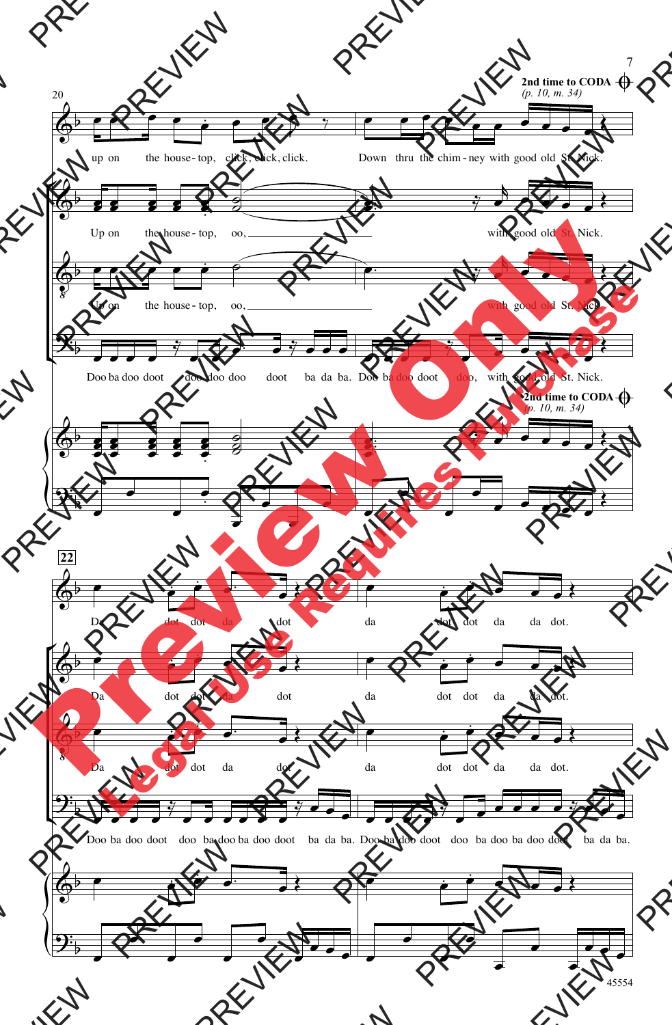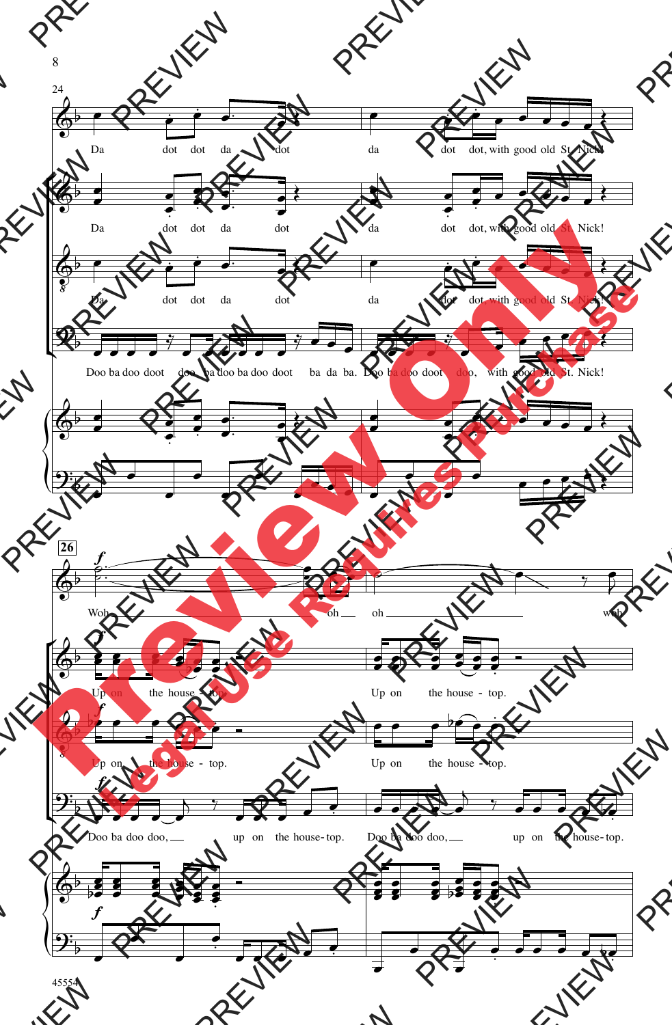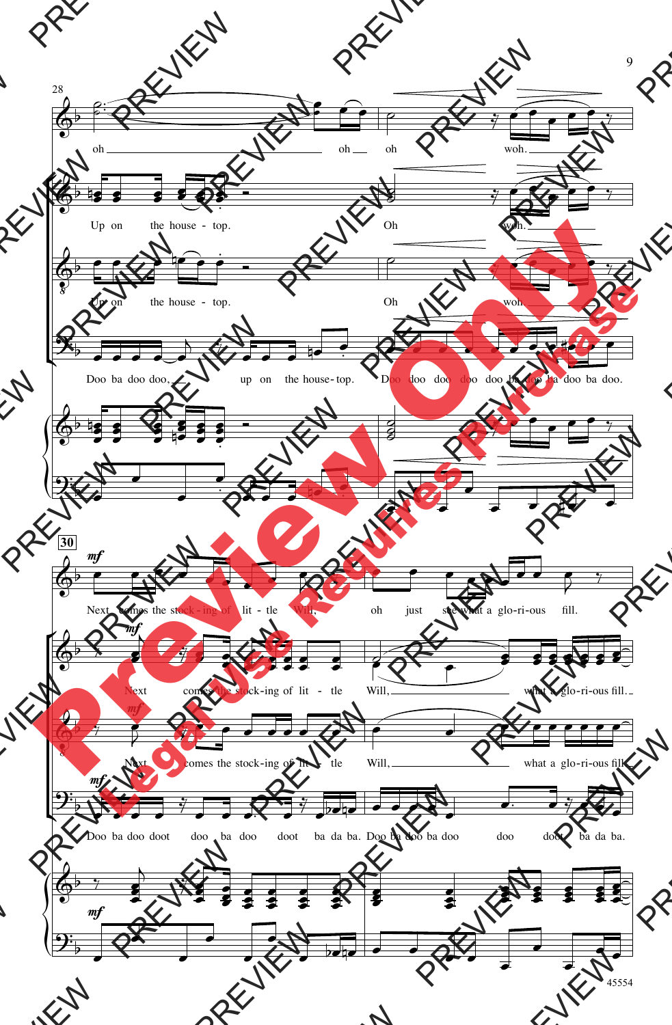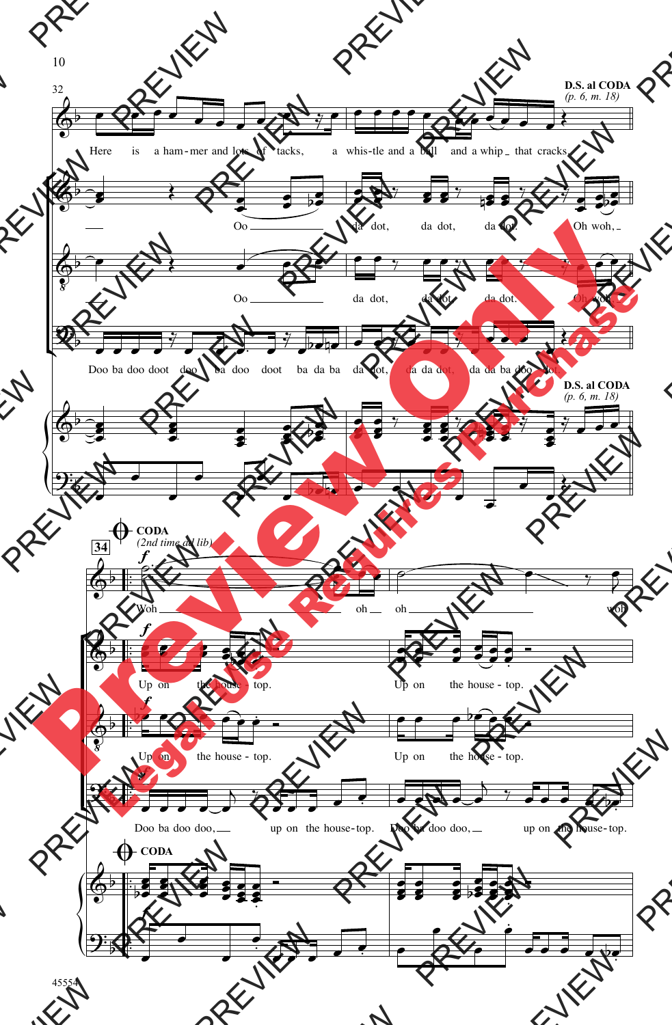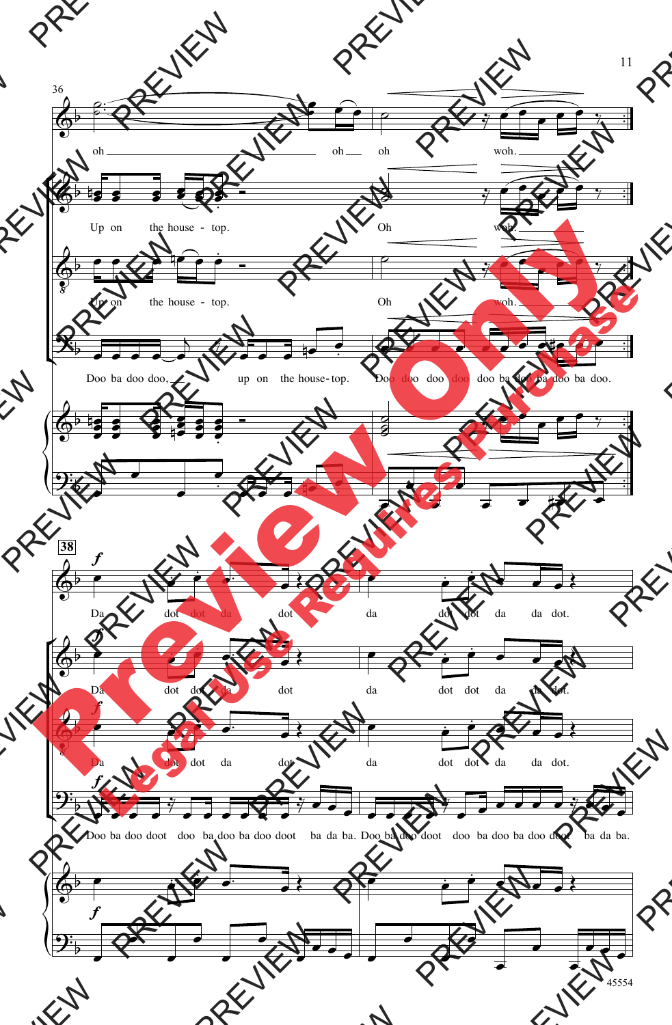